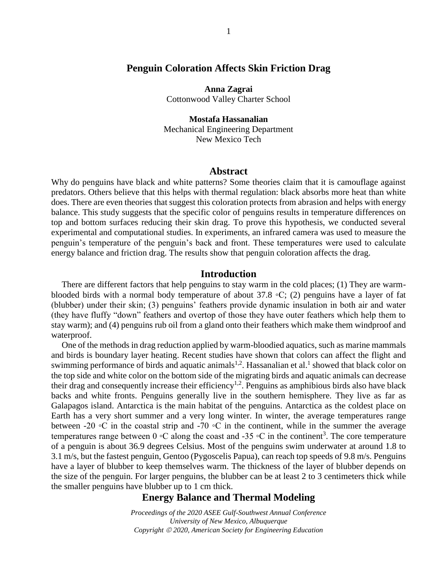# **Penguin Coloration Affects Skin Friction Drag**

**Anna Zagrai** Cottonwood Valley Charter School

### **Mostafa Hassanalian**

Mechanical Engineering Department New Mexico Tech

#### **Abstract**

Why do penguins have black and white patterns? Some theories claim that it is camouflage against predators. Others believe that this helps with thermal regulation: black absorbs more heat than white does. There are even theories that suggest this coloration protects from abrasion and helps with energy balance. This study suggests that the specific color of penguins results in temperature differences on top and bottom surfaces reducing their skin drag. To prove this hypothesis, we conducted several experimental and computational studies. In experiments, an infrared camera was used to measure the penguin's temperature of the penguin's back and front. These temperatures were used to calculate energy balance and friction drag. The results show that penguin coloration affects the drag.

### **Introduction**

There are different factors that help penguins to stay warm in the cold places; (1) They are warmblooded birds with a normal body temperature of about 37.8 ◦C; (2) penguins have a layer of fat (blubber) under their skin; (3) penguins' feathers provide dynamic insulation in both air and water (they have fluffy "down" feathers and overtop of those they have outer feathers which help them to stay warm); and (4) penguins rub oil from a gland onto their feathers which make them windproof and waterproof.

One of the methods in drag reduction applied by warm-bloodied aquatics, such as marine mammals and birds is boundary layer heating. Recent studies have shown that colors can affect the flight and swimming performance of birds and aquatic animals<sup>1,2</sup>. Hassanalian et al.<sup>1</sup> showed that black color on the top side and white color on the bottom side of the migrating birds and aquatic animals can decrease their drag and consequently increase their efficiency<sup>1,2</sup>. Penguins as amphibious birds also have black backs and white fronts. Penguins generally live in the southern hemisphere. They live as far as Galapagos island. Antarctica is the main habitat of the penguins. Antarctica as the coldest place on Earth has a very short summer and a very long winter. In winter, the average temperatures range between -20 ◦C in the coastal strip and -70 ◦C in the continent, while in the summer the average temperatures range between 0 °C along the coast and -35 °C in the continent<sup>3</sup>. The core temperature of a penguin is about 36.9 degrees Celsius. Most of the penguins swim underwater at around 1.8 to 3.1 m/s, but the fastest penguin, Gentoo (Pygoscelis Papua), can reach top speeds of 9.8 m/s. Penguins have a layer of blubber to keep themselves warm. The thickness of the layer of blubber depends on the size of the penguin. For larger penguins, the blubber can be at least 2 to 3 centimeters thick while the smaller penguins have blubber up to 1 cm thick.

# **Energy Balance and Thermal Modeling**

*Proceedings of the 2020 ASEE Gulf-Southwest Annual Conference University of New Mexico, Albuquerque Copyright 2020, American Society for Engineering Education*